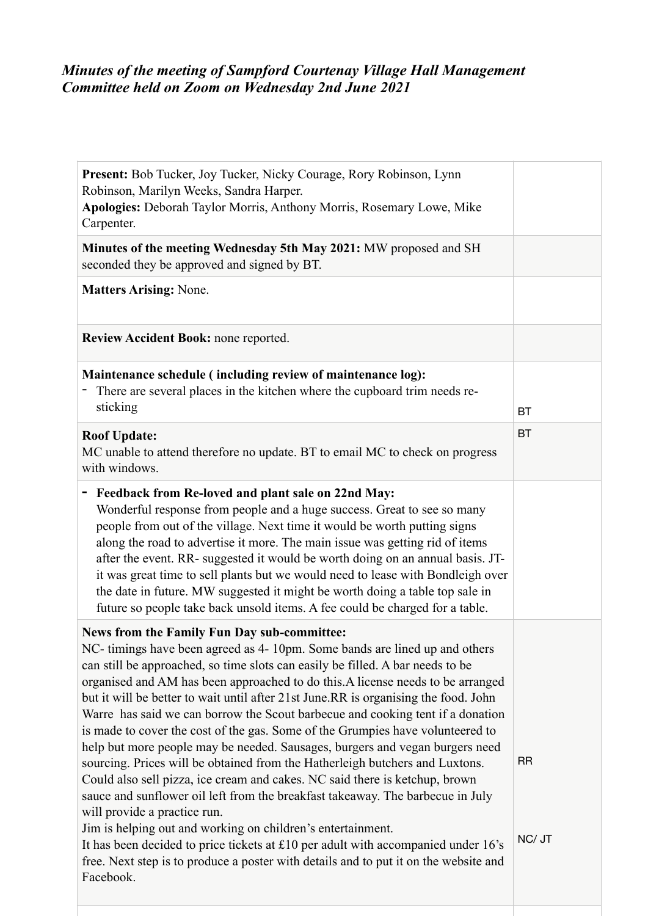# *Minutes of the meeting of Sampford Courtenay Village Hall Management Committee held on Zoom on Wednesday 2nd June 2021*

| Present: Bob Tucker, Joy Tucker, Nicky Courage, Rory Robinson, Lynn<br>Robinson, Marilyn Weeks, Sandra Harper.<br>Apologies: Deborah Taylor Morris, Anthony Morris, Rosemary Lowe, Mike<br>Carpenter.                                                                                                                                                                                                                                                                                                                                                                                                                                                                                                                                                                                                                                                                                                                                                                                                                                                                                                                                                                               |                     |
|-------------------------------------------------------------------------------------------------------------------------------------------------------------------------------------------------------------------------------------------------------------------------------------------------------------------------------------------------------------------------------------------------------------------------------------------------------------------------------------------------------------------------------------------------------------------------------------------------------------------------------------------------------------------------------------------------------------------------------------------------------------------------------------------------------------------------------------------------------------------------------------------------------------------------------------------------------------------------------------------------------------------------------------------------------------------------------------------------------------------------------------------------------------------------------------|---------------------|
| Minutes of the meeting Wednesday 5th May 2021: MW proposed and SH<br>seconded they be approved and signed by BT.                                                                                                                                                                                                                                                                                                                                                                                                                                                                                                                                                                                                                                                                                                                                                                                                                                                                                                                                                                                                                                                                    |                     |
| <b>Matters Arising: None.</b>                                                                                                                                                                                                                                                                                                                                                                                                                                                                                                                                                                                                                                                                                                                                                                                                                                                                                                                                                                                                                                                                                                                                                       |                     |
| Review Accident Book: none reported.                                                                                                                                                                                                                                                                                                                                                                                                                                                                                                                                                                                                                                                                                                                                                                                                                                                                                                                                                                                                                                                                                                                                                |                     |
| Maintenance schedule (including review of maintenance log):<br>There are several places in the kitchen where the cupboard trim needs re-<br>sticking                                                                                                                                                                                                                                                                                                                                                                                                                                                                                                                                                                                                                                                                                                                                                                                                                                                                                                                                                                                                                                | <b>BT</b>           |
| <b>Roof Update:</b><br>MC unable to attend therefore no update. BT to email MC to check on progress<br>with windows.                                                                                                                                                                                                                                                                                                                                                                                                                                                                                                                                                                                                                                                                                                                                                                                                                                                                                                                                                                                                                                                                | <b>BT</b>           |
| Feedback from Re-loved and plant sale on 22nd May:<br>Wonderful response from people and a huge success. Great to see so many<br>people from out of the village. Next time it would be worth putting signs<br>along the road to advertise it more. The main issue was getting rid of items<br>after the event. RR- suggested it would be worth doing on an annual basis. JT-<br>it was great time to sell plants but we would need to lease with Bondleigh over<br>the date in future. MW suggested it might be worth doing a table top sale in<br>future so people take back unsold items. A fee could be charged for a table.                                                                                                                                                                                                                                                                                                                                                                                                                                                                                                                                                     |                     |
| News from the Family Fun Day sub-committee:<br>NC- timings have been agreed as 4-10pm. Some bands are lined up and others<br>can still be approached, so time slots can easily be filled. A bar needs to be<br>organised and AM has been approached to do this. A license needs to be arranged<br>but it will be better to wait until after 21st June.RR is organising the food. John<br>Warre has said we can borrow the Scout barbecue and cooking tent if a donation<br>is made to cover the cost of the gas. Some of the Grumpies have volunteered to<br>help but more people may be needed. Sausages, burgers and vegan burgers need<br>sourcing. Prices will be obtained from the Hatherleigh butchers and Luxtons.<br>Could also sell pizza, ice cream and cakes. NC said there is ketchup, brown<br>sauce and sunflower oil left from the breakfast takeaway. The barbecue in July<br>will provide a practice run.<br>Jim is helping out and working on children's entertainment.<br>It has been decided to price tickets at £10 per adult with accompanied under 16's<br>free. Next step is to produce a poster with details and to put it on the website and<br>Facebook. | <b>RR</b><br>NC/ JT |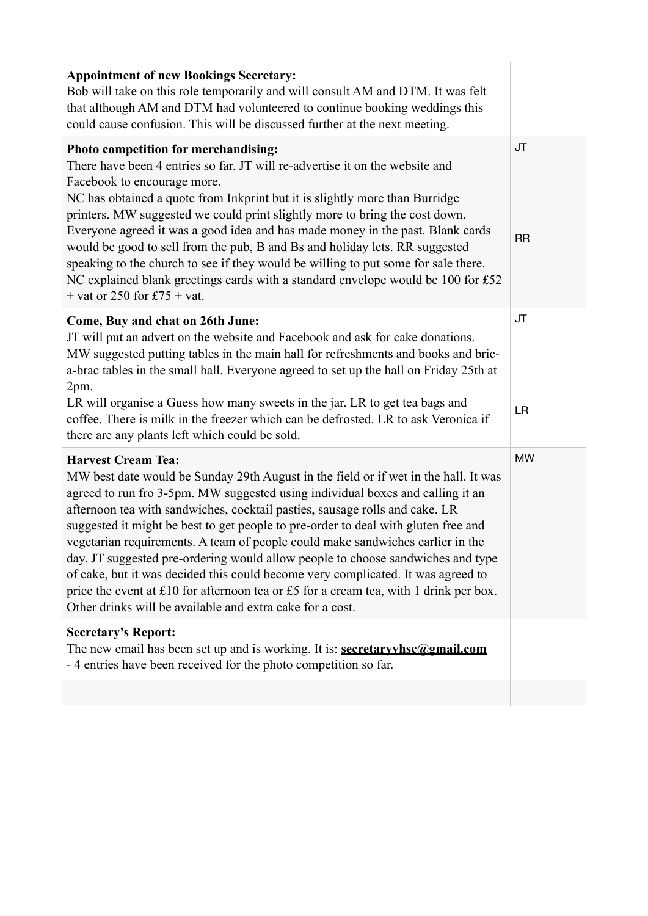| <b>Appointment of new Bookings Secretary:</b><br>Bob will take on this role temporarily and will consult AM and DTM. It was felt<br>that although AM and DTM had volunteered to continue booking weddings this<br>could cause confusion. This will be discussed further at the next meeting.                                                                                                                                                                                                                                                                                                                                                                                                                                                                                           |                 |
|----------------------------------------------------------------------------------------------------------------------------------------------------------------------------------------------------------------------------------------------------------------------------------------------------------------------------------------------------------------------------------------------------------------------------------------------------------------------------------------------------------------------------------------------------------------------------------------------------------------------------------------------------------------------------------------------------------------------------------------------------------------------------------------|-----------------|
| Photo competition for merchandising:<br>There have been 4 entries so far. JT will re-advertise it on the website and<br>Facebook to encourage more.<br>NC has obtained a quote from Inkprint but it is slightly more than Burridge<br>printers. MW suggested we could print slightly more to bring the cost down.<br>Everyone agreed it was a good idea and has made money in the past. Blank cards<br>would be good to sell from the pub, B and Bs and holiday lets. RR suggested<br>speaking to the church to see if they would be willing to put some for sale there.<br>NC explained blank greetings cards with a standard envelope would be 100 for £52<br>+ vat or 250 for £75 + vat.                                                                                            | JT<br><b>RR</b> |
| Come, Buy and chat on 26th June:<br>JT will put an advert on the website and Facebook and ask for cake donations.<br>MW suggested putting tables in the main hall for refreshments and books and bric-<br>a-brac tables in the small hall. Everyone agreed to set up the hall on Friday 25th at<br>2pm.<br>LR will organise a Guess how many sweets in the jar. LR to get tea bags and<br>coffee. There is milk in the freezer which can be defrosted. LR to ask Veronica if<br>there are any plants left which could be sold.                                                                                                                                                                                                                                                         | JT<br><b>LR</b> |
| <b>Harvest Cream Tea:</b><br>MW best date would be Sunday 29th August in the field or if wet in the hall. It was<br>agreed to run fro 3-5pm. MW suggested using individual boxes and calling it an<br>afternoon tea with sandwiches, cocktail pasties, sausage rolls and cake. LR<br>suggested it might be best to get people to pre-order to deal with gluten free and<br>vegetarian requirements. A team of people could make sandwiches earlier in the<br>day. JT suggested pre-ordering would allow people to choose sandwiches and type<br>of cake, but it was decided this could become very complicated. It was agreed to<br>price the event at £10 for afternoon tea or £5 for a cream tea, with 1 drink per box.<br>Other drinks will be available and extra cake for a cost. | <b>MW</b>       |
| <b>Secretary's Report:</b><br>The new email has been set up and is working. It is: <b>secretaryvhsc</b> @ <b>gmail.com</b><br>- 4 entries have been received for the photo competition so far.                                                                                                                                                                                                                                                                                                                                                                                                                                                                                                                                                                                         |                 |
|                                                                                                                                                                                                                                                                                                                                                                                                                                                                                                                                                                                                                                                                                                                                                                                        |                 |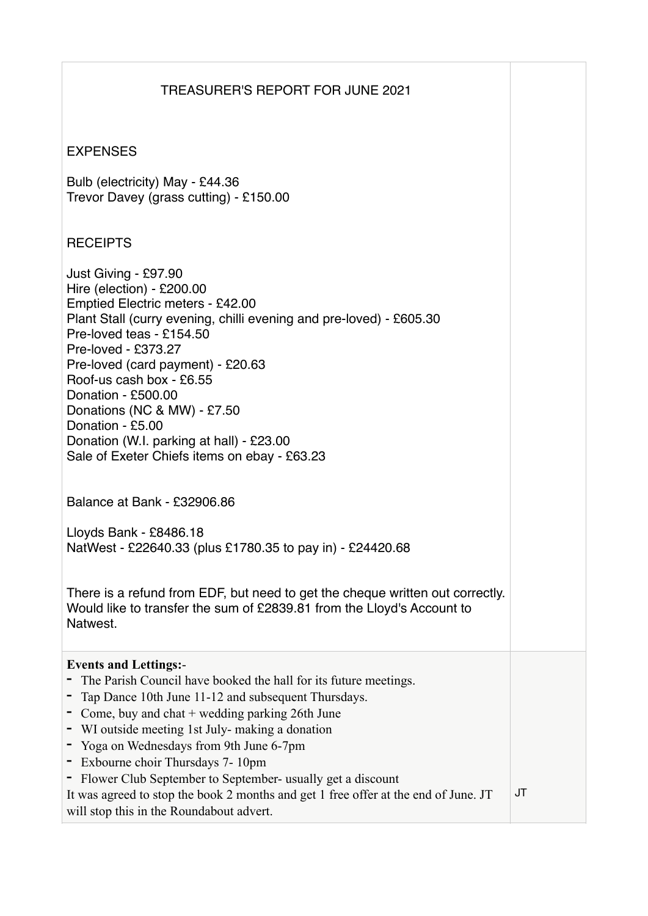## TREASURER'S REPORT FOR JUNE 2021

#### **EXPENSES**

Bulb (electricity) May - £44.36 Trevor Davey (grass cutting) - £150.00

### **RECEIPTS**

Just Giving - £97.90 Hire (election) - £200.00 Emptied Electric meters - £42.00 Plant Stall (curry evening, chilli evening and pre-loved) - £605.30 Pre-loved teas - £154.50 Pre-loved - £373.27 Pre-loved (card payment) - £20.63 Roof-us cash box - £6.55 Donation - £500.00 Donations (NC & MW) - £7.50 Donation - £5.00 Donation (W.I. parking at hall) - £23.00 Sale of Exeter Chiefs items on ebay - £63.23

Balance at Bank - £32906.86

Lloyds Bank - £8486.18 NatWest - £22640.33 (plus £1780.35 to pay in) - £24420.68

There is a refund from EDF, but need to get the cheque written out correctly. Would like to transfer the sum of £2839.81 from the Lloyd's Account to **Natwest** 

# **Events and Lettings:**-

- **-** The Parish Council have booked the hall for its future meetings.
- **-** Tap Dance 10th June 11-12 and subsequent Thursdays.
- **-** Come, buy and chat + wedding parking 26th June
- **-** WI outside meeting 1st July- making a donation
- **-** Yoga on Wednesdays from 9th June 6-7pm
- **-** Exbourne choir Thursdays 7- 10pm
- **-** Flower Club September to September- usually get a discount
- It was agreed to stop the book 2 months and get 1 free offer at the end of June. JT will stop this in the Roundabout advert. JT